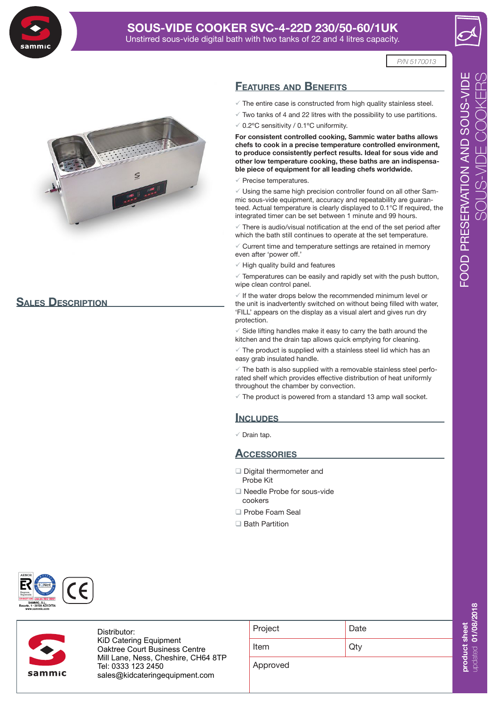

# **SOUS-VIDE COOKER SVC-4-22D 230/50-60/1UK** Unstirred sous-vide digital bath with two tanks of 22 and 4 litres capacity.

*P/N 5170013*



# **Sales Description**



- $\checkmark$  The entire case is constructed from high quality stainless steel.
- $\sqrt{ }$  Two tanks of 4 and 22 litres with the possibility to use partitions.
- $\sqrt{0.2$ <sup>o</sup>C sensitivity / 0.1<sup>o</sup>C uniformity.

**For consistent controlled cooking, Sammic water baths allows chefs to cook in a precise temperature controlled environment, to produce consistently perfect results. Ideal for sous vide and other low temperature cooking, these baths are an indispensable piece of equipment for all leading chefs worldwide.**

 $\checkmark$  Precise temperatures.

 $\checkmark$  Using the same high precision controller found on all other Sammic sous-vide equipment, accuracy and repeatability are guaranteed. Actual temperature is clearly displayed to 0.1°C If required, the integrated timer can be set between 1 minute and 99 hours.

 $\sqrt{ }$  There is audio/visual notification at the end of the set period after which the bath still continues to operate at the set temperature.

 $\sqrt{2}$  Current time and temperature settings are retained in memory even after 'power off.'

 $\sqrt{}$  High quality build and features

 $\sqrt{2}$  Temperatures can be easily and rapidly set with the push button, wipe clean control panel.

 $\checkmark$  If the water drops below the recommended minimum level or the unit is inadvertently switched on without being filled with water, 'FILL' appears on the display as a visual alert and gives run dry protection.

 $\checkmark$  Side lifting handles make it easy to carry the bath around the kitchen and the drain tap allows quick emptying for cleaning.

 $\sqrt{2}$  The product is supplied with a stainless steel lid which has an easy grab insulated handle.

 $\checkmark$  The bath is also supplied with a removable stainless steel perforated shelf which provides effective distribution of heat uniformly throughout the chamber by convection.

 $\checkmark$  The product is powered from a standard 13 amp wall socket.

#### **INCLUDES**

 $\checkmark$  Drain tap.

# **Accessories**

- Digital thermometer and Probe Kit
- □ Needle Probe for sous-vide cookers
- □ Probe Foam Seal
- □ Bath Partition



Distributor: KiD Catering Equipment Oaktree Court Business Centre Mill Lane, Ness, Cheshire, CH64 8TP Tel: 0333 123 2450 **uksales@sammic.com** sales@kidcateringequipment.com**Tel.: +44 0116 246 1900**

| 0. 1    |      |
|---------|------|
| Item    | Qty  |
| Project | Date |
|         |      |

Approved

update **0 000**

8/2 **018** 

updated 01/0

**pro duct she**

**tt**<br>- 한국 Forting Property Association<br>- 한국 Forting Property Association Association